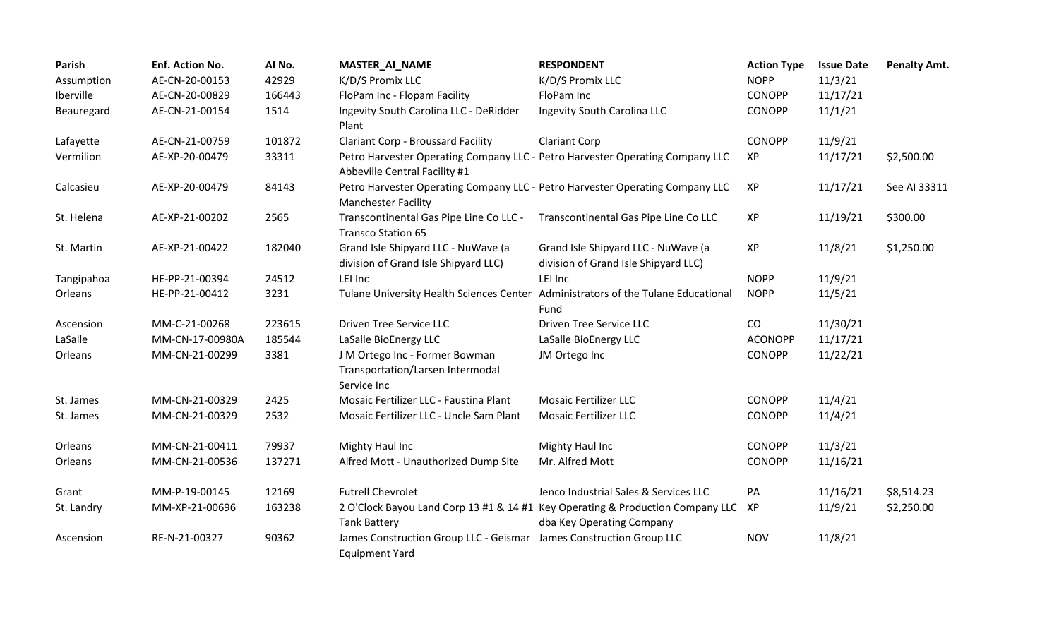| Parish     | Enf. Action No. | Al No. | <b>MASTER_AI_NAME</b>                                                                                          | <b>RESPONDENT</b>                                                                                           | <b>Action Type</b> | <b>Issue Date</b> | <b>Penalty Amt.</b> |
|------------|-----------------|--------|----------------------------------------------------------------------------------------------------------------|-------------------------------------------------------------------------------------------------------------|--------------------|-------------------|---------------------|
| Assumption | AE-CN-20-00153  | 42929  | K/D/S Promix LLC                                                                                               | K/D/S Promix LLC                                                                                            | <b>NOPP</b>        | 11/3/21           |                     |
| Iberville  | AE-CN-20-00829  | 166443 | FloPam Inc - Flopam Facility                                                                                   | FloPam Inc                                                                                                  | <b>CONOPP</b>      | 11/17/21          |                     |
| Beauregard | AE-CN-21-00154  | 1514   | Ingevity South Carolina LLC - DeRidder<br>Plant                                                                | Ingevity South Carolina LLC                                                                                 | <b>CONOPP</b>      | 11/1/21           |                     |
| Lafayette  | AE-CN-21-00759  | 101872 | <b>Clariant Corp - Broussard Facility</b>                                                                      | <b>Clariant Corp</b>                                                                                        | <b>CONOPP</b>      | 11/9/21           |                     |
| Vermilion  | AE-XP-20-00479  | 33311  | Petro Harvester Operating Company LLC - Petro Harvester Operating Company LLC<br>Abbeville Central Facility #1 |                                                                                                             | XP                 | 11/17/21          | \$2,500.00          |
| Calcasieu  | AE-XP-20-00479  | 84143  | Petro Harvester Operating Company LLC - Petro Harvester Operating Company LLC<br><b>Manchester Facility</b>    |                                                                                                             | XP                 | 11/17/21          | See AI 33311        |
| St. Helena | AE-XP-21-00202  | 2565   | Transcontinental Gas Pipe Line Co LLC -<br><b>Transco Station 65</b>                                           | Transcontinental Gas Pipe Line Co LLC                                                                       | XP                 | 11/19/21          | \$300.00            |
| St. Martin | AE-XP-21-00422  | 182040 | Grand Isle Shipyard LLC - NuWave (a<br>division of Grand Isle Shipyard LLC)                                    | Grand Isle Shipyard LLC - NuWave (a<br>division of Grand Isle Shipyard LLC)                                 | XP                 | 11/8/21           | \$1,250.00          |
| Tangipahoa | HE-PP-21-00394  | 24512  | LEI Inc                                                                                                        | LEI Inc                                                                                                     | <b>NOPP</b>        | 11/9/21           |                     |
| Orleans    | HE-PP-21-00412  | 3231   | Tulane University Health Sciences Center                                                                       | Administrators of the Tulane Educational<br>Fund                                                            | <b>NOPP</b>        | 11/5/21           |                     |
| Ascension  | MM-C-21-00268   | 223615 | <b>Driven Tree Service LLC</b>                                                                                 | <b>Driven Tree Service LLC</b>                                                                              | CO                 | 11/30/21          |                     |
| LaSalle    | MM-CN-17-00980A | 185544 | LaSalle BioEnergy LLC                                                                                          | LaSalle BioEnergy LLC                                                                                       | <b>ACONOPP</b>     | 11/17/21          |                     |
| Orleans    | MM-CN-21-00299  | 3381   | J M Ortego Inc - Former Bowman<br>Transportation/Larsen Intermodal<br>Service Inc                              | JM Ortego Inc                                                                                               | <b>CONOPP</b>      | 11/22/21          |                     |
| St. James  | MM-CN-21-00329  | 2425   | Mosaic Fertilizer LLC - Faustina Plant                                                                         | <b>Mosaic Fertilizer LLC</b>                                                                                | <b>CONOPP</b>      | 11/4/21           |                     |
| St. James  | MM-CN-21-00329  | 2532   | Mosaic Fertilizer LLC - Uncle Sam Plant                                                                        | <b>Mosaic Fertilizer LLC</b>                                                                                | <b>CONOPP</b>      | 11/4/21           |                     |
| Orleans    | MM-CN-21-00411  | 79937  | Mighty Haul Inc                                                                                                | Mighty Haul Inc                                                                                             | <b>CONOPP</b>      | 11/3/21           |                     |
| Orleans    | MM-CN-21-00536  | 137271 | Alfred Mott - Unauthorized Dump Site                                                                           | Mr. Alfred Mott                                                                                             | <b>CONOPP</b>      | 11/16/21          |                     |
| Grant      | MM-P-19-00145   | 12169  | <b>Futrell Chevrolet</b>                                                                                       | Jenco Industrial Sales & Services LLC                                                                       | PA                 | 11/16/21          | \$8,514.23          |
| St. Landry | MM-XP-21-00696  | 163238 | <b>Tank Battery</b>                                                                                            | 2 O'Clock Bayou Land Corp 13 #1 & 14 #1 Key Operating & Production Company LLC<br>dba Key Operating Company | XP                 | 11/9/21           | \$2,250.00          |
| Ascension  | RE-N-21-00327   | 90362  | James Construction Group LLC - Geismar James Construction Group LLC<br><b>Equipment Yard</b>                   |                                                                                                             | <b>NOV</b>         | 11/8/21           |                     |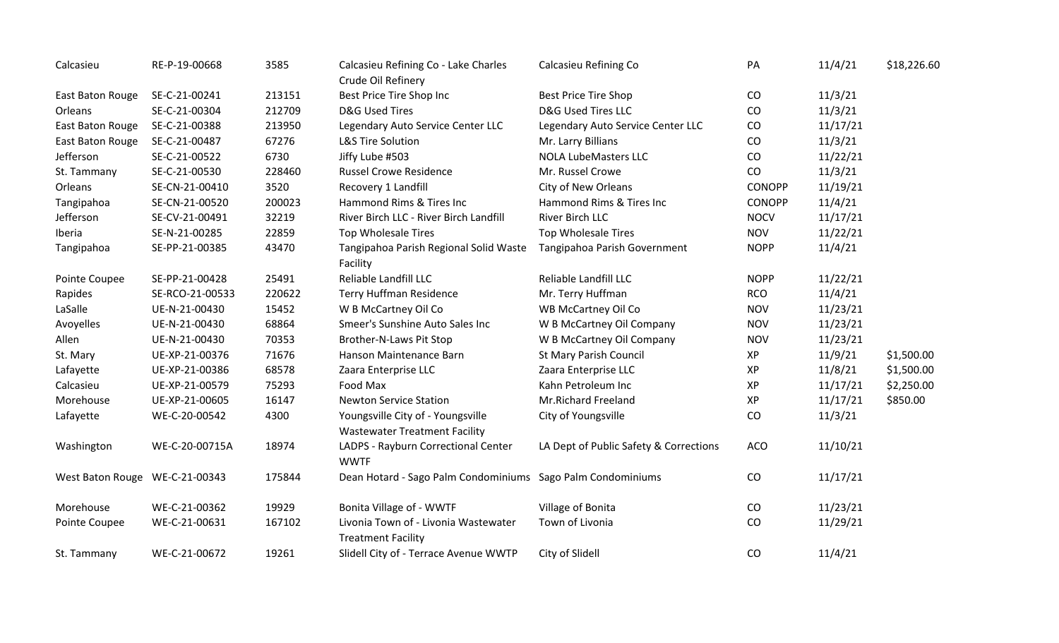| Calcasieu                      | RE-P-19-00668   | 3585   | Calcasieu Refining Co - Lake Charles<br>Crude Oil Refinery                | Calcasieu Refining Co                  | PA          | 11/4/21  | \$18,226.60 |
|--------------------------------|-----------------|--------|---------------------------------------------------------------------------|----------------------------------------|-------------|----------|-------------|
| East Baton Rouge               | SE-C-21-00241   | 213151 | Best Price Tire Shop Inc                                                  | <b>Best Price Tire Shop</b>            | $\rm CO$    | 11/3/21  |             |
| Orleans                        | SE-C-21-00304   | 212709 | <b>D&amp;G Used Tires</b>                                                 | <b>D&amp;G Used Tires LLC</b>          | CO          | 11/3/21  |             |
| East Baton Rouge               | SE-C-21-00388   | 213950 | Legendary Auto Service Center LLC                                         | Legendary Auto Service Center LLC      | CO          | 11/17/21 |             |
| East Baton Rouge               | SE-C-21-00487   | 67276  | <b>L&amp;S Tire Solution</b>                                              | Mr. Larry Billians                     | CO          | 11/3/21  |             |
| Jefferson                      | SE-C-21-00522   | 6730   | Jiffy Lube #503                                                           | <b>NOLA LubeMasters LLC</b>            | CO          | 11/22/21 |             |
| St. Tammany                    | SE-C-21-00530   | 228460 | <b>Russel Crowe Residence</b>                                             | Mr. Russel Crowe                       | CO          | 11/3/21  |             |
| Orleans                        | SE-CN-21-00410  | 3520   | Recovery 1 Landfill                                                       | City of New Orleans                    | CONOPP      | 11/19/21 |             |
| Tangipahoa                     | SE-CN-21-00520  | 200023 | Hammond Rims & Tires Inc                                                  | Hammond Rims & Tires Inc               | CONOPP      | 11/4/21  |             |
| Jefferson                      | SE-CV-21-00491  | 32219  | River Birch LLC - River Birch Landfill                                    | River Birch LLC                        | <b>NOCV</b> | 11/17/21 |             |
| Iberia                         | SE-N-21-00285   | 22859  | <b>Top Wholesale Tires</b>                                                | <b>Top Wholesale Tires</b>             | <b>NOV</b>  | 11/22/21 |             |
| Tangipahoa                     | SE-PP-21-00385  | 43470  | Tangipahoa Parish Regional Solid Waste<br>Facility                        | Tangipahoa Parish Government           | <b>NOPP</b> | 11/4/21  |             |
| Pointe Coupee                  | SE-PP-21-00428  | 25491  | Reliable Landfill LLC                                                     | Reliable Landfill LLC                  | <b>NOPP</b> | 11/22/21 |             |
| Rapides                        | SE-RCO-21-00533 | 220622 | <b>Terry Huffman Residence</b>                                            | Mr. Terry Huffman                      | <b>RCO</b>  | 11/4/21  |             |
| LaSalle                        | UE-N-21-00430   | 15452  | W B McCartney Oil Co                                                      | WB McCartney Oil Co                    | <b>NOV</b>  | 11/23/21 |             |
| Avoyelles                      | UE-N-21-00430   | 68864  | Smeer's Sunshine Auto Sales Inc                                           | W B McCartney Oil Company              | <b>NOV</b>  | 11/23/21 |             |
| Allen                          | UE-N-21-00430   | 70353  | Brother-N-Laws Pit Stop                                                   | W B McCartney Oil Company              | <b>NOV</b>  | 11/23/21 |             |
| St. Mary                       | UE-XP-21-00376  | 71676  | Hanson Maintenance Barn                                                   | St Mary Parish Council                 | XP          | 11/9/21  | \$1,500.00  |
| Lafayette                      | UE-XP-21-00386  | 68578  | Zaara Enterprise LLC                                                      | Zaara Enterprise LLC                   | XP          | 11/8/21  | \$1,500.00  |
| Calcasieu                      | UE-XP-21-00579  | 75293  | Food Max                                                                  | Kahn Petroleum Inc                     | XP          | 11/17/21 | \$2,250.00  |
| Morehouse                      | UE-XP-21-00605  | 16147  | <b>Newton Service Station</b>                                             | Mr.Richard Freeland                    | XP          | 11/17/21 | \$850.00    |
| Lafayette                      | WE-C-20-00542   | 4300   | Youngsville City of - Youngsville<br><b>Wastewater Treatment Facility</b> | City of Youngsville                    | CO          | 11/3/21  |             |
| Washington                     | WE-C-20-00715A  | 18974  | LADPS - Rayburn Correctional Center<br><b>WWTF</b>                        | LA Dept of Public Safety & Corrections | <b>ACO</b>  | 11/10/21 |             |
| West Baton Rouge WE-C-21-00343 |                 | 175844 | Dean Hotard - Sago Palm Condominiums Sago Palm Condominiums               |                                        | CO          | 11/17/21 |             |
| Morehouse                      | WE-C-21-00362   | 19929  | Bonita Village of - WWTF                                                  | Village of Bonita                      | CO          | 11/23/21 |             |
| Pointe Coupee                  | WE-C-21-00631   | 167102 | Livonia Town of - Livonia Wastewater<br><b>Treatment Facility</b>         | Town of Livonia                        | CO          | 11/29/21 |             |
| St. Tammany                    | WE-C-21-00672   | 19261  | Slidell City of - Terrace Avenue WWTP                                     | City of Slidell                        | CO          | 11/4/21  |             |